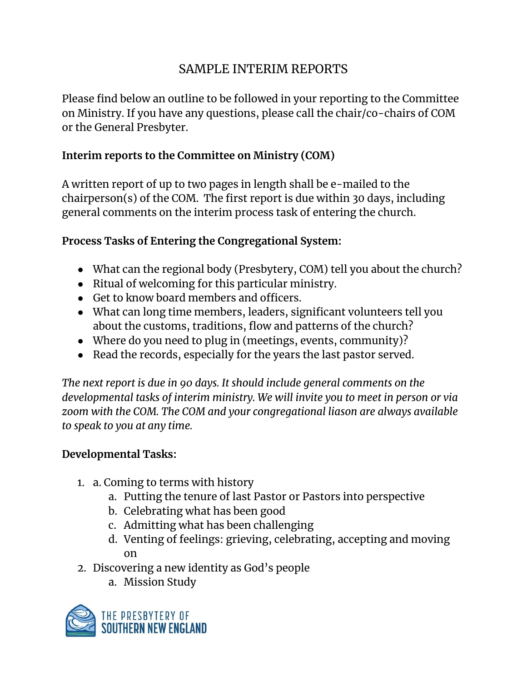## SAMPLE INTERIM REPORTS

Please find below an outline to be followed in your reporting to the Committee on Ministry. If you have any questions, please call the chair/co-chairs of COM or the General Presbyter.

## **Interim reports to the Committee on Ministry (COM)**

A written report of up to two pages in length shall be e-mailed to the chairperson(s) of the COM. The first report is due within 30 days, including general comments on the interim process task of entering the church.

## **Process Tasks of Entering the Congregational System:**

- What can the regional body (Presbytery, COM) tell you about the church?
- Ritual of welcoming for this particular ministry.
- Get to know board members and officers.
- What can long time members, leaders, significant volunteers tell you about the customs, traditions, flow and patterns of the church?
- Where do you need to plug in (meetings, events, community)?
- Read the records, especially for the years the last pastor served.

*The next report is due in 90 days. It should include general comments on the developmental tasks of interim ministry. We will invite you to meet in person or via zoom with the COM. The COM and your congregational liason are always available to speak to you at any time.*

## **Developmental Tasks:**

- 1. a. Coming to terms with history
	- a. Putting the tenure of last Pastor or Pastors into perspective
	- b. Celebrating what has been good
	- c. Admitting what has been challenging
	- d. Venting of feelings: grieving, celebrating, accepting and moving on
- 2. Discovering a new identity as God's people
	- a. Mission Study